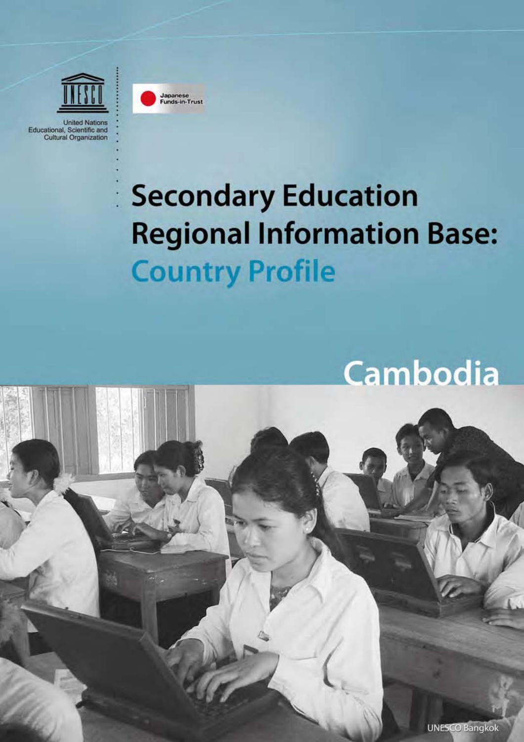

Japanese<br>Funds-in-Trust





Cambodia

**UNESCO Bangkok**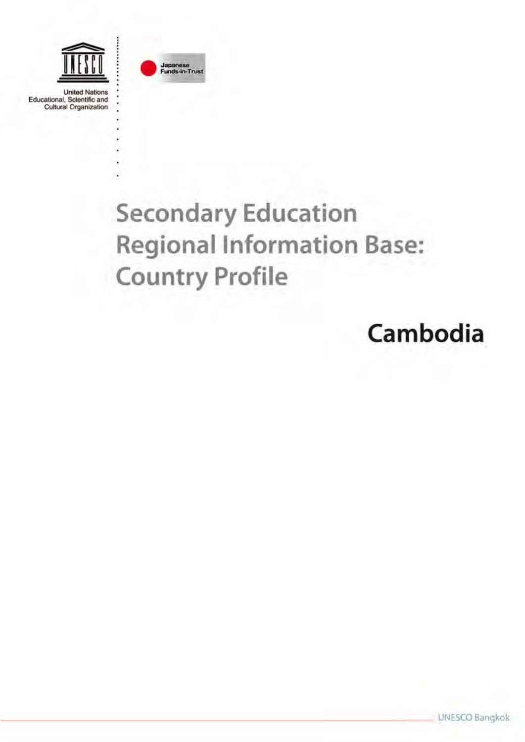

**United Nations** Educational, Scientific and<br>Cultural Organization



# **Secondary Education Regional Information Base: Country Profile**

# Cambodia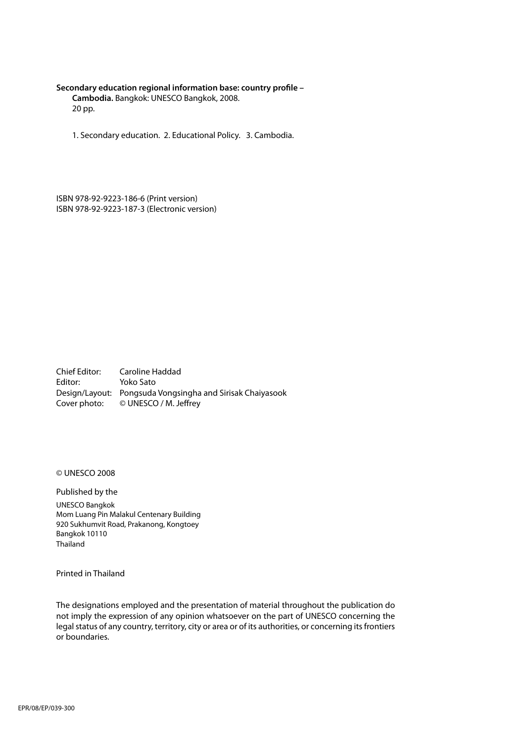#### **Secondary education regional information base: country profile –**

**Cambodia.** Bangkok: UNESCO Bangkok, 2008. 20 pp.

1. Secondary education. 2. Educational Policy. 3. Cambodia.

ISBN 978-92-9223-186-6 (Print version) ISBN 978-92-9223-187-3 (Electronic version)

Chief Editor: Caroline Haddad Editor: Yoko Sato Design/Layout: Pongsuda Vongsingha and Sirisak Chaiyasook Cover photo: © UNESCO / M. Jeffrey

© UNESCO 2008

Published by the

UNESCO Bangkok Mom Luang Pin Malakul Centenary Building 920 Sukhumvit Road, Prakanong, Kongtoey Bangkok 10110 Thailand

Printed in Thailand

The designations employed and the presentation of material throughout the publication do not imply the expression of any opinion whatsoever on the part of UNESCO concerning the legal status of any country, territory, city or area or of its authorities, or concerning its frontiers or boundaries.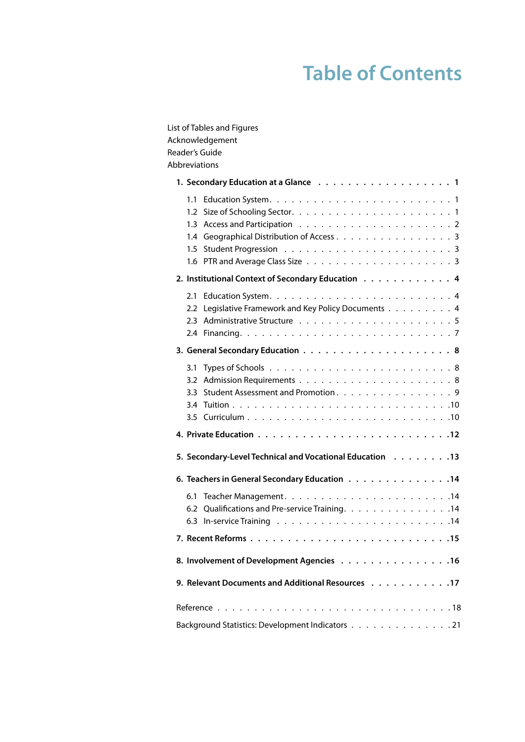## **Table of Contents**

| List of Tables and Figures                               |
|----------------------------------------------------------|
| Acknowledgement<br>Reader's Guide                        |
| Abbreviations                                            |
|                                                          |
|                                                          |
|                                                          |
|                                                          |
| 1.4 Geographical Distribution of Access 3                |
|                                                          |
| 2. Institutional Context of Secondary Education 4        |
|                                                          |
|                                                          |
| Legislative Framework and Key Policy Documents 4<br>2.2  |
|                                                          |
|                                                          |
|                                                          |
|                                                          |
| Student Assessment and Promotion. 9<br>3.3               |
|                                                          |
|                                                          |
|                                                          |
| 5. Secondary-Level Technical and Vocational Education 13 |
| 6. Teachers in General Secondary Education 14            |
|                                                          |
| 6.2 Qualifications and Pre-service Training. 14          |
|                                                          |
|                                                          |
| 8. Involvement of Development Agencies 16                |
| 9. Relevant Documents and Additional Resources 17        |
|                                                          |
| Background Statistics: Development Indicators 21         |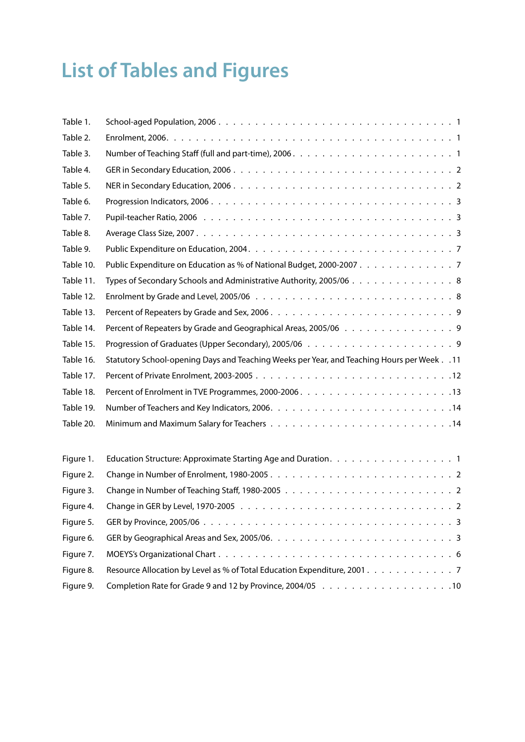# <span id="page-4-0"></span>**List of Tables and Figures**

| Table 1.  |                                                                                               |
|-----------|-----------------------------------------------------------------------------------------------|
| Table 2.  |                                                                                               |
| Table 3.  |                                                                                               |
| Table 4.  |                                                                                               |
| Table 5.  |                                                                                               |
| Table 6.  |                                                                                               |
| Table 7.  |                                                                                               |
| Table 8.  |                                                                                               |
| Table 9.  |                                                                                               |
| Table 10. | Public Expenditure on Education as % of National Budget, 2000-2007 7                          |
| Table 11. | Types of Secondary Schools and Administrative Authority, 2005/06 8                            |
| Table 12. |                                                                                               |
| Table 13. |                                                                                               |
| Table 14. | Percent of Repeaters by Grade and Geographical Areas, 2005/06 9                               |
| Table 15. |                                                                                               |
| Table 16. | 11. Statutory School-opening Days and Teaching Weeks per Year, and Teaching Hours per Week 11 |
| Table 17. |                                                                                               |
| Table 18. |                                                                                               |
| Table 19. |                                                                                               |
| Table 20. |                                                                                               |
| Figure 1. |                                                                                               |
| Figure 2. |                                                                                               |
| Figure 3. |                                                                                               |
| Figure 4. |                                                                                               |
| Figure 5. |                                                                                               |
| Figure 6. |                                                                                               |
| Figure 7. |                                                                                               |
| Figure 8. | Resource Allocation by Level as % of Total Education Expenditure, 2001. 7                     |
| Figure 9. |                                                                                               |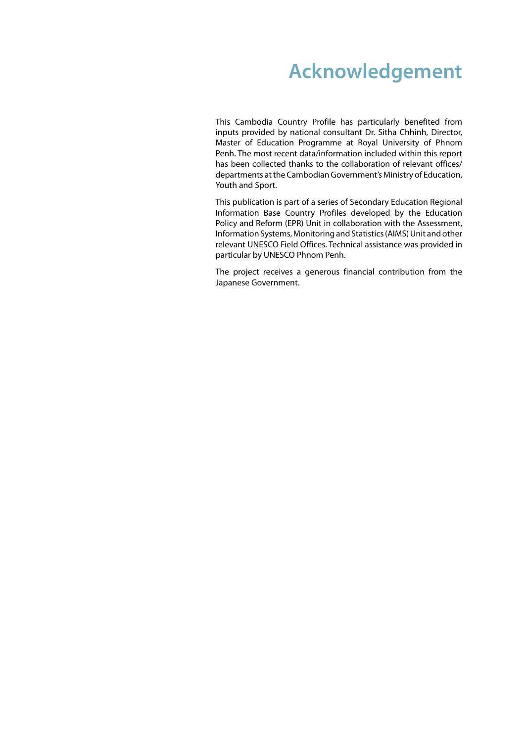## **Acknowledgement**

<span id="page-5-0"></span>This Cambodia Country Profile has particularly benefited from inputs provided by national consultant Dr. Sitha Chhinh, Director, Master of Education Programme at Royal University of Phnom Penh. The most recent data/information included within this report has been collected thanks to the collaboration of relevant offices/ departments at the Cambodian Government's Ministry of Education, Youth and Sport.

This publication is part of a series of Secondary Education Regional Information Base Country Profiles developed by the Education Policy and Reform (EPR) Unit in collaboration with the Assessment, Information Systems, Monitoring and Statistics (AIMS) Unit and other relevant UNESCO Field Offices. Technical assistance was provided in particular by UNESCO Phnom Penh.

The project receives a generous financial contribution from the Japanese Government.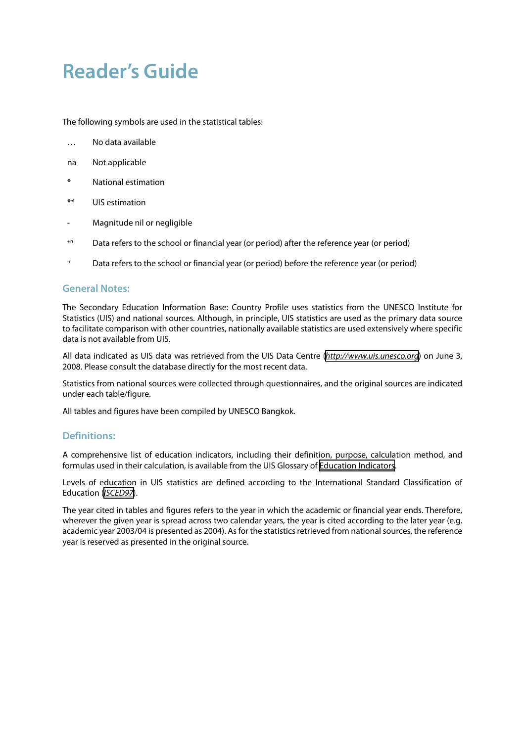## <span id="page-6-0"></span>**Reader's Guide**

The following symbols are used in the statistical tables:

- … No data available
- na Not applicable
- National estimation
- \*\* UIS estimation
- Magnitude nil or negligible
- +n Data refers to the school or financial year (or period) after the reference year (or period)
- <sup>-n</sup> Data refers to the school or financial year (or period) before the reference year (or period)

#### **General Notes:**

The Secondary Education Information Base: Country Profile uses statistics from the UNESCO Institute for Statistics (UIS) and national sources. Although, in principle, UIS statistics are used as the primary data source to facilitate comparison with other countries, nationally available statistics are used extensively where specific data is not available from UIS.

All data indicated as UIS data was retrieved from the UIS Data Centre (*<http://www.uis.unesco.org>*) on June 3, 2008. Please consult the database directly for the most recent data.

Statistics from national sources were collected through questionnaires, and the original sources are indicated under each table/figure.

All tables and figures have been compiled by UNESCO Bangkok.

#### **Definitions:**

A comprehensive list of education indicators, including their definition, purpose, calculation method, and formulas used in their calculation, is available from the UIS Glossary of [Education Indicators.](http://www.uis.unesco.org/ev.php?ID=5202_201&ID2=DO_TOPIC)

Levels of education in UIS statistics are defined according to the International Standard Classification of Education (*[ISCED97](http://www.uis.unesco.org/ev.php?ID=3813_201&ID2=DO_TOPIC)*).

The year cited in tables and figures refers to the year in which the academic or financial year ends. Therefore, wherever the given year is spread across two calendar years, the year is cited according to the later year (e.g. academic year 2003/04 is presented as 2004). As for the statistics retrieved from national sources, the reference year is reserved as presented in the original source.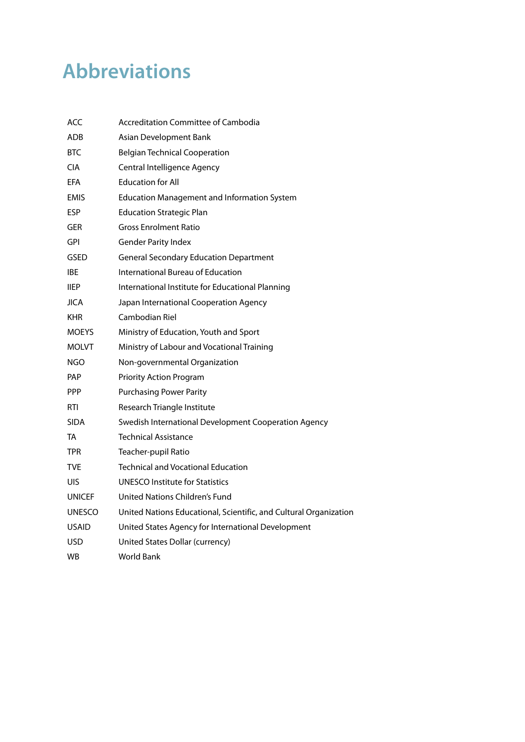## <span id="page-7-0"></span>**Abbreviations**

| <b>ACC</b>    | Accreditation Committee of Cambodia                               |
|---------------|-------------------------------------------------------------------|
| ADB           | Asian Development Bank                                            |
| BTC           | <b>Belgian Technical Cooperation</b>                              |
| <b>CIA</b>    | Central Intelligence Agency                                       |
| <b>EFA</b>    | <b>Education for All</b>                                          |
| EMIS          | <b>Education Management and Information System</b>                |
| <b>ESP</b>    | <b>Education Strategic Plan</b>                                   |
| GER           | <b>Gross Enrolment Ratio</b>                                      |
| GPI           | <b>Gender Parity Index</b>                                        |
| GSED          | <b>General Secondary Education Department</b>                     |
| IBE.          | International Bureau of Education                                 |
| <b>IIEP</b>   | International Institute for Educational Planning                  |
| JICA          | Japan International Cooperation Agency                            |
| <b>KHR</b>    | Cambodian Riel                                                    |
| <b>MOEYS</b>  | Ministry of Education, Youth and Sport                            |
| <b>MOLVT</b>  | Ministry of Labour and Vocational Training                        |
| NGO           | Non-governmental Organization                                     |
| <b>PAP</b>    | <b>Priority Action Program</b>                                    |
| <b>PPP</b>    | <b>Purchasing Power Parity</b>                                    |
| RTI           | Research Triangle Institute                                       |
| <b>SIDA</b>   | Swedish International Development Cooperation Agency              |
| TA            | <b>Technical Assistance</b>                                       |
| <b>TPR</b>    | Teacher-pupil Ratio                                               |
| <b>TVE</b>    | <b>Technical and Vocational Education</b>                         |
| UIS           | <b>UNESCO Institute for Statistics</b>                            |
| <b>UNICEF</b> | United Nations Children's Fund                                    |
| <b>UNESCO</b> | United Nations Educational, Scientific, and Cultural Organization |
| <b>USAID</b>  | United States Agency for International Development                |
| USD           | United States Dollar (currency)                                   |
| WB            | World Bank                                                        |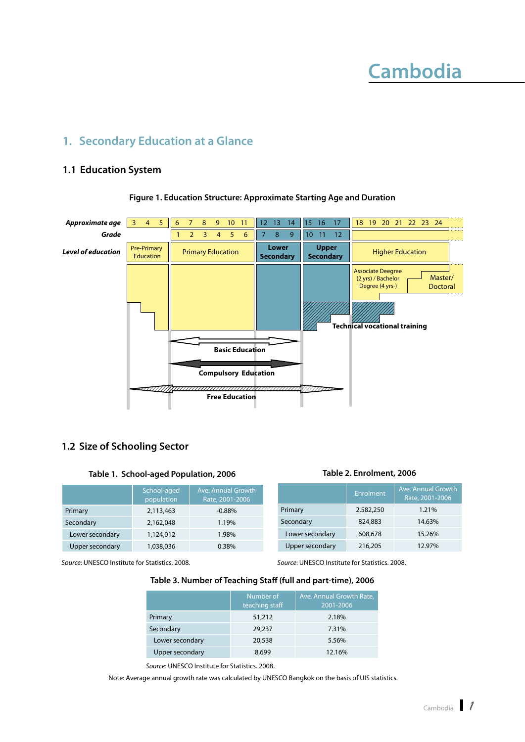## **Cambodia**

### <span id="page-9-0"></span>**1. Secondary Education at a Glance**

#### **1.1 Education System**



#### **Figure 1. Education Structure: Approximate Starting Age and Duration**

#### **1.2 Size of Schooling Sector**

#### **Table 1. School-aged Population, 2006**

|                 | School-aged<br>population | Ave. Annual Growth<br>Rate, 2001-2006 |                 | Enrolment | Ave. Annual Growth<br>Rate, 2001-2006 |
|-----------------|---------------------------|---------------------------------------|-----------------|-----------|---------------------------------------|
| Primary         | 2,113,463                 | $-0.88%$                              | Primary         | 2,582,250 | 1.21%                                 |
| Secondary       | 2.162.048                 | 1.19%                                 | Secondary       | 824,883   | 14.63%                                |
| Lower secondary | 1,124,012                 | 1.98%                                 | Lower secondary | 608,678   | 15.26%                                |
| Upper secondary | 1,038,036                 | $0.38\%$                              | Upper secondary | 216,205   | 12.97%                                |

*Source*: UNESCO Institute for Statistics. 2008.

#### **Table 3. Number of Teaching Staff (full and part-time), 2006**

|                 | Number of<br>teaching staff | Ave. Annual Growth Rate,<br>2001-2006 |
|-----------------|-----------------------------|---------------------------------------|
| Primary         | 51,212                      | 2.18%                                 |
| Secondary       | 29,237                      | 7.31%                                 |
| Lower secondary | 20,538                      | 5.56%                                 |
| Upper secondary | 8,699                       | 12.16%                                |

*Source*: UNESCO Institute for Statistics. 2008.

Note: Average annual growth rate was calculated by UNESCO Bangkok on the basis of UIS statistics.

#### **Table 2. Enrolment, 2006**

*Source*: UNESCO Institute for Statistics. 2008.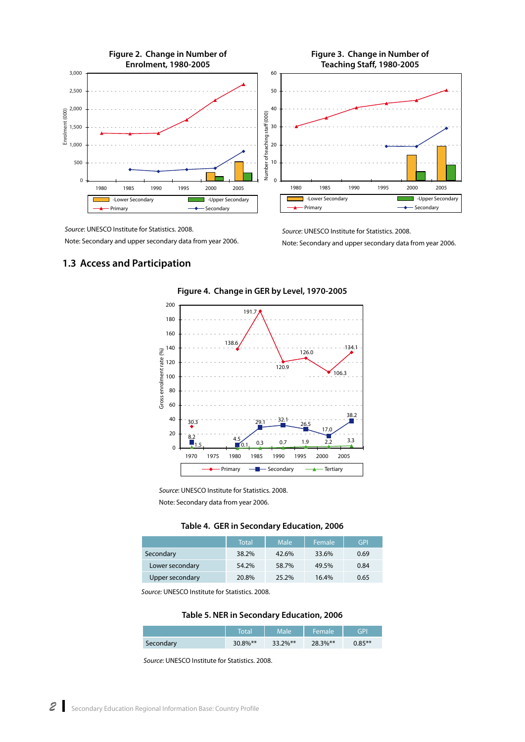<span id="page-10-0"></span>

*Source*: UNESCO Institute for Statistics. 2008.

Note: Secondary and upper secondary data from year 2006.

*Source*: UNESCO Institute for Statistics. 2008. Note: Secondary and upper secondary data from year 2006.

#### **1.3 Access and Participation**



**Figure 4. Change in GER by Level, 1970-2005**

*Source*: UNESCO Institute for Statistics. 2008. Note: Secondary data from year 2006.

|  |  |  | Table 4. GER in Secondary Education, 2006 |  |
|--|--|--|-------------------------------------------|--|
|--|--|--|-------------------------------------------|--|

|                 | <b>Total</b> | Male  | Female | <b>GPI</b> |
|-----------------|--------------|-------|--------|------------|
| Secondary       | 38.2%        | 42.6% | 33.6%  | 0.69       |
| Lower secondary | 54.2%        | 58.7% | 49.5%  | 0.84       |
| Upper secondary | 20.8%        | 25.2% | 16.4%  | 0.65       |

*Source:* UNESCO Institute for Statistics. 2008.

**Table 5. NER in Secondary Education, 2006**

|           | Total   | Male        | Female  | GPI       |
|-----------|---------|-------------|---------|-----------|
| Secondary | 30.8%** | $33.2\%$ ** | 28.3%** | $0.85***$ |

*Source*: UNESCO Institute for Statistics. 2008.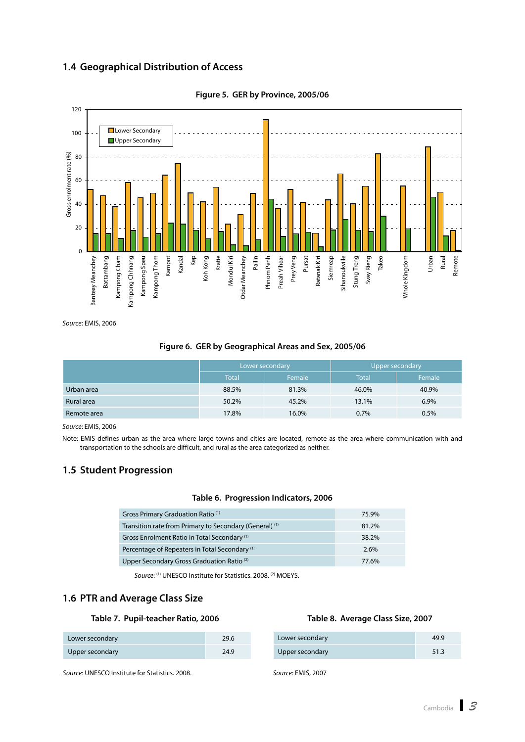#### <span id="page-11-0"></span>**1.4 Geographical Distribution of Access**



**Figure 5. GER by Province, 2005/06**

*Source*: EMIS, 2006

## **Figure 6. GER by Geographical Areas and Sex, 2005/06** Lower secondary **Letter Contact Secondary Upper secondary**

|             | Lower secondary |        | Upper secondary |        |
|-------------|-----------------|--------|-----------------|--------|
|             | Total           | Female | <b>Total</b>    | Female |
| Urban area  | 88.5%           | 81.3%  | 46.0%           | 40.9%  |
| Rural area  | 50.2%           | 45.2%  | 13.1%           | 6.9%   |
| Remote area | 17.8%           | 16.0%  | 0.7%            | 0.5%   |

*Source*: EMIS, 2006

Note: EMIS defines urban as the area where large towns and cities are located, remote as the area where communication with and transportation to the schools are difficult, and rural as the area categorized as neither.

#### **1.5 Student Progression**

#### **Table 6. Progression Indicators, 2006**

| Gross Primary Graduation Ratio <sup>(1)</sup>             | 75.9% |
|-----------------------------------------------------------|-------|
| Transition rate from Primary to Secondary (General) (1)   | 81.2% |
| Gross Enrolment Ratio in Total Secondary <sup>(1)</sup>   | 38.2% |
| Percentage of Repeaters in Total Secondary <sup>(1)</sup> | 2.6%  |
| Upper Secondary Gross Graduation Ratio <sup>(2)</sup>     | 77.6% |

*Source*: (1) UNESCO Institute for Statistics. 2008. (2) MOEYS.

#### **1.6 PTR and Average Class Size**

#### **Table 7. Pupil-teacher Ratio, 2006**

| Lower secondary | 29.6 |
|-----------------|------|
| Upper secondary | 24.9 |

*Source*: UNESCO Institute for Statistics. 2008.

#### **Table 8. Average Class Size, 2007**

| Lower secondary | 49.9 |
|-----------------|------|
| Upper secondary | 51.3 |

*Source*: EMIS, 2007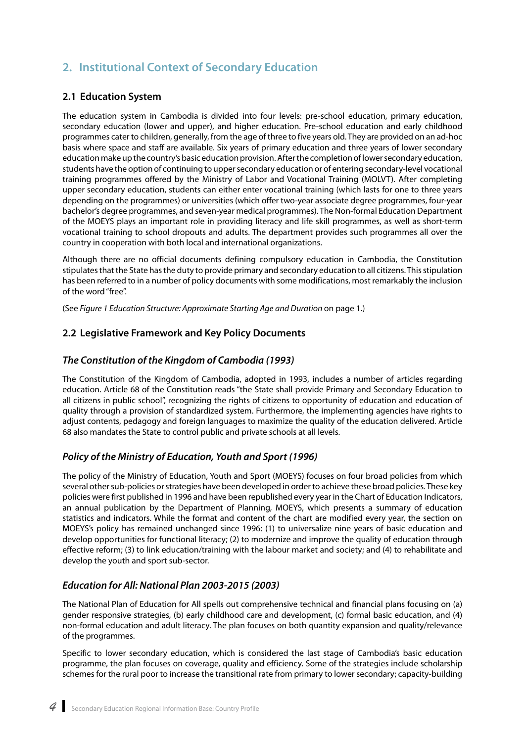### <span id="page-12-0"></span>**2. Institutional Context of Secondary Education**

#### **2.1 Education System**

The education system in Cambodia is divided into four levels: pre-school education, primary education, secondary education (lower and upper), and higher education. Pre-school education and early childhood programmes cater to children, generally, from the age of three to five years old. They are provided on an ad-hoc basis where space and staff are available. Six years of primary education and three years of lower secondary education make up the country's basic education provision. After the completion of lower secondary education, students have the option of continuing to upper secondary education or of entering secondary-level vocational training programmes offered by the Ministry of Labor and Vocational Training (MOLVT). After completing upper secondary education, students can either enter vocational training (which lasts for one to three years depending on the programmes) or universities (which offer two-year associate degree programmes, four-year bachelor's degree programmes, and seven-year medical programmes). The Non-formal Education Department of the MOEYS plays an important role in providing literacy and life skill programmes, as well as short-term vocational training to school dropouts and adults. The department provides such programmes all over the country in cooperation with both local and international organizations.

Although there are no official documents defining compulsory education in Cambodia, the Constitution stipulates that the State has the duty to provide primary and secondary education to all citizens. This stipulation has been referred to in a number of policy documents with some modifications, most remarkably the inclusion of the word "free".

(See *Figure 1 Education Structure: Approximate Starting Age and Duration* on page 1.)

#### **2.2 Legislative Framework and Key Policy Documents**

#### *The Constitution of the Kingdom of Cambodia (1993)*

The Constitution of the Kingdom of Cambodia, adopted in 1993, includes a number of articles regarding education. Article 68 of the Constitution reads "the State shall provide Primary and Secondary Education to all citizens in public school", recognizing the rights of citizens to opportunity of education and education of quality through a provision of standardized system. Furthermore, the implementing agencies have rights to adjust contents, pedagogy and foreign languages to maximize the quality of the education delivered. Article 68 also mandates the State to control public and private schools at all levels.

#### *Policy of the Ministry of Education, Youth and Sport (1996)*

The policy of the Ministry of Education, Youth and Sport (MOEYS) focuses on four broad policies from which several other sub-policies or strategies have been developed in order to achieve these broad policies. These key policies were first published in 1996 and have been republished every year in the Chart of Education Indicators, an annual publication by the Department of Planning, MOEYS, which presents a summary of education statistics and indicators. While the format and content of the chart are modified every year, the section on MOEYS's policy has remained unchanged since 1996: (1) to universalize nine years of basic education and develop opportunities for functional literacy; (2) to modernize and improve the quality of education through effective reform; (3) to link education/training with the labour market and society; and (4) to rehabilitate and develop the youth and sport sub-sector.

#### *Education for All: National Plan 2003-2015 (2003)*

The National Plan of Education for All spells out comprehensive technical and financial plans focusing on (a) gender responsive strategies, (b) early childhood care and development, (c) formal basic education, and (4) non-formal education and adult literacy. The plan focuses on both quantity expansion and quality/relevance of the programmes.

Specific to lower secondary education, which is considered the last stage of Cambodia's basic education programme, the plan focuses on coverage, quality and efficiency. Some of the strategies include scholarship schemes for the rural poor to increase the transitional rate from primary to lower secondary; capacity-building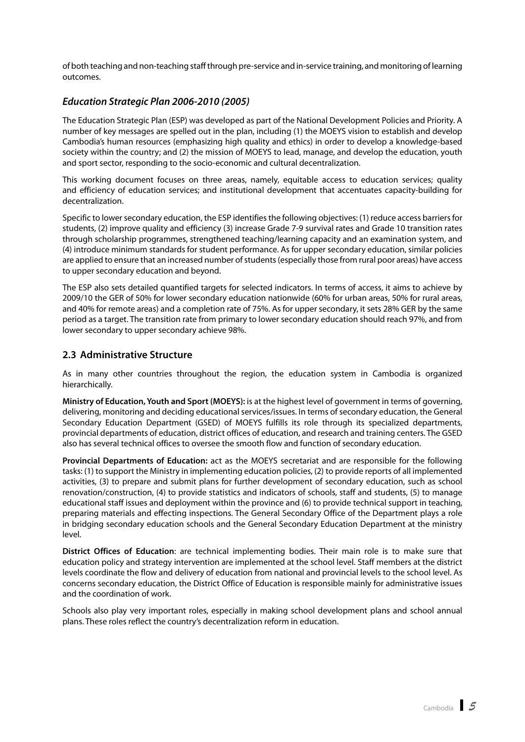<span id="page-13-0"></span>of both teaching and non-teaching staff through pre-service and in-service training, and monitoring of learning outcomes.

#### *Education Strategic Plan 2006-2010 (2005)*

The Education Strategic Plan (ESP) was developed as part of the National Development Policies and Priority. A number of key messages are spelled out in the plan, including (1) the MOEYS vision to establish and develop Cambodia's human resources (emphasizing high quality and ethics) in order to develop a knowledge-based society within the country; and (2) the mission of MOEYS to lead, manage, and develop the education, youth and sport sector, responding to the socio-economic and cultural decentralization.

This working document focuses on three areas, namely, equitable access to education services; quality and efficiency of education services; and institutional development that accentuates capacity-building for decentralization.

Specific to lower secondary education, the ESP identifies the following objectives: (1) reduce access barriers for students, (2) improve quality and efficiency (3) increase Grade 7-9 survival rates and Grade 10 transition rates through scholarship programmes, strengthened teaching/learning capacity and an examination system, and (4) introduce minimum standards for student performance. As for upper secondary education, similar policies are applied to ensure that an increased number of students (especially those from rural poor areas) have access to upper secondary education and beyond.

The ESP also sets detailed quantified targets for selected indicators. In terms of access, it aims to achieve by 2009/10 the GER of 50% for lower secondary education nationwide (60% for urban areas, 50% for rural areas, and 40% for remote areas) and a completion rate of 75%. As for upper secondary, it sets 28% GER by the same period as a target. The transition rate from primary to lower secondary education should reach 97%, and from lower secondary to upper secondary achieve 98%.

#### **2.3 Administrative Structure**

As in many other countries throughout the region, the education system in Cambodia is organized hierarchically.

**Ministry of Education, Youth and Sport (MOEYS):** is at the highest level of government in terms of governing, delivering, monitoring and deciding educational services/issues. In terms of secondary education, the General Secondary Education Department (GSED) of MOEYS fulfills its role through its specialized departments, provincial departments of education, district offices of education, and research and training centers. The GSED also has several technical offices to oversee the smooth flow and function of secondary education.

**Provincial Departments of Education:** act as the MOEYS secretariat and are responsible for the following tasks: (1) to support the Ministry in implementing education policies, (2) to provide reports of all implemented activities, (3) to prepare and submit plans for further development of secondary education, such as school renovation/construction, (4) to provide statistics and indicators of schools, staff and students, (5) to manage educational staff issues and deployment within the province and (6) to provide technical support in teaching, preparing materials and effecting inspections. The General Secondary Office of the Department plays a role in bridging secondary education schools and the General Secondary Education Department at the ministry level.

**District Offices of Education**: are technical implementing bodies. Their main role is to make sure that education policy and strategy intervention are implemented at the school level. Staff members at the district levels coordinate the flow and delivery of education from national and provincial levels to the school level. As concerns secondary education, the District Office of Education is responsible mainly for administrative issues and the coordination of work.

Schools also play very important roles, especially in making school development plans and school annual plans. These roles reflect the country's decentralization reform in education.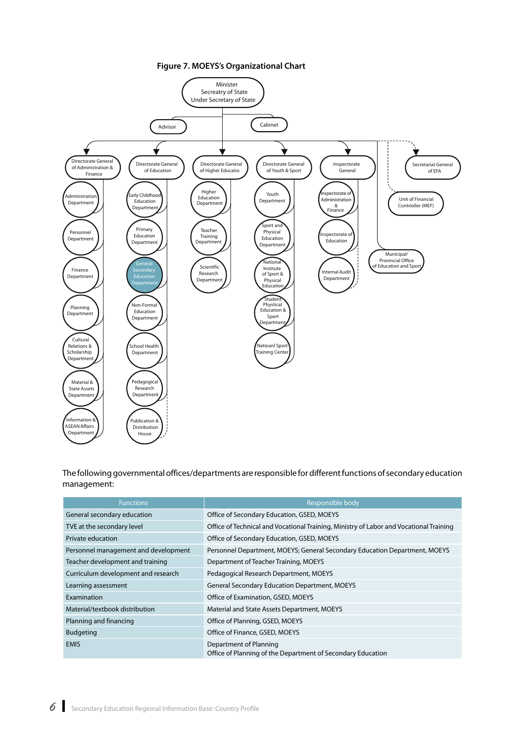

<span id="page-14-0"></span>

The following governmental offices/departments are responsible for different functions of secondary education management:

| <b>Functions</b>                     | Responsible body                                                                       |
|--------------------------------------|----------------------------------------------------------------------------------------|
| General secondary education          | Office of Secondary Education, GSED, MOEYS                                             |
| TVE at the secondary level           | Office of Technical and Vocational Training, Ministry of Labor and Vocational Training |
| Private education                    | Office of Secondary Education, GSED, MOEYS                                             |
| Personnel management and development | Personnel Department, MOEYS; General Secondary Education Department, MOEYS             |
| Teacher development and training     | Department of Teacher Training, MOEYS                                                  |
| Curriculum development and research  | Pedagogical Research Department, MOEYS                                                 |
| Learning assessment                  | <b>General Secondary Education Department, MOEYS</b>                                   |
| Examination                          | Office of Examination, GSED, MOEYS                                                     |
| Material/textbook distribution       | Material and State Assets Department, MOEYS                                            |
| Planning and financing               | Office of Planning, GSED, MOEYS                                                        |
| <b>Budgeting</b>                     | Office of Finance, GSED, MOEYS                                                         |
| <b>EMIS</b>                          | Department of Planning<br>Office of Planning of the Department of Secondary Education  |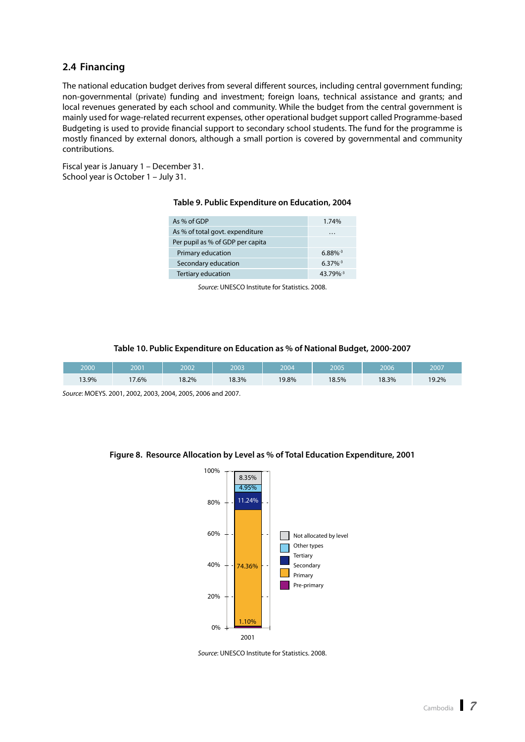#### <span id="page-15-0"></span>**2.4 Financing**

The national education budget derives from several different sources, including central government funding; non-governmental (private) funding and investment; foreign loans, technical assistance and grants; and local revenues generated by each school and community. While the budget from the central government is mainly used for wage-related recurrent expenses, other operational budget support called Programme-based Budgeting is used to provide financial support to secondary school students. The fund for the programme is mostly financed by external donors, although a small portion is covered by governmental and community contributions.

Fiscal year is January 1 – December 31. School year is October 1 – July 31.

#### **Table 9. Public Expenditure on Education, 2004**

| As % of GDP                      | 1.74%                  |
|----------------------------------|------------------------|
| As % of total govt. expenditure  | $\cdots$               |
| Per pupil as % of GDP per capita |                        |
| Primary education                | $6.88\%$ <sup>-3</sup> |
| Secondary education              | $6.37\%$ <sup>-3</sup> |
| Tertiary education               | 43.79%-3               |
|                                  |                        |

*Source*: UNESCO Institute for Statistics. 2008.

#### **Table 10. Public Expenditure on Education as % of National Budget, 2000-2007**

| 2000  | 2001  | 2002  | 2003  | 2004  | 2005  | 2006  | 2007  |
|-------|-------|-------|-------|-------|-------|-------|-------|
| 13.9% | 17.6% | 18.2% | 18.3% | 19.8% | 18.5% | 18.3% | 19.2% |

*Source*: MOEYS. 2001, 2002, 2003, 2004, 2005, 2006 and 2007.

#### **Figure 8. Resource Allocation by Level as % of Total Education Expenditure, 2001**



*Source*: UNESCO Institute for Statistics. 2008.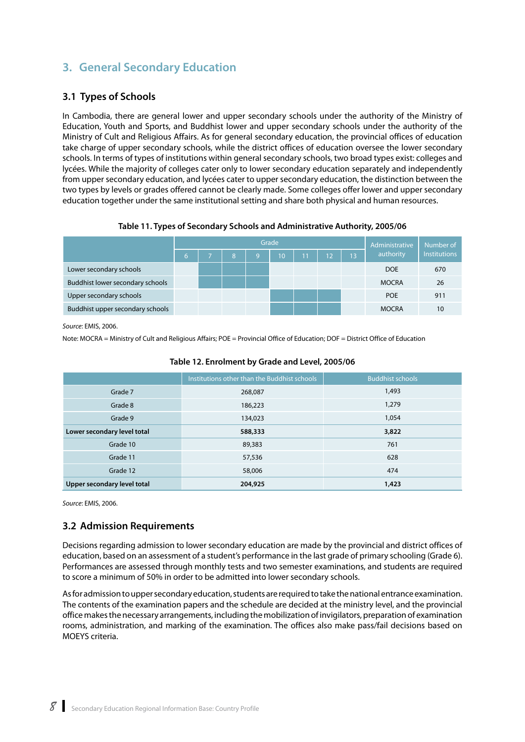### <span id="page-16-0"></span>**3. General Secondary Education**

#### **3.1 Types of Schools**

In Cambodia, there are general lower and upper secondary schools under the authority of the Ministry of Education, Youth and Sports, and Buddhist lower and upper secondary schools under the authority of the Ministry of Cult and Religious Affairs. As for general secondary education, the provincial offices of education take charge of upper secondary schools, while the district offices of education oversee the lower secondary schools. In terms of types of institutions within general secondary schools, two broad types exist: colleges and lycées. While the majority of colleges cater only to lower secondary education separately and independently from upper secondary education, and lycées cater to upper secondary education, the distinction between the two types by levels or grades offered cannot be clearly made. Some colleges offer lower and upper secondary education together under the same institutional setting and share both physical and human resources.

#### **Table 11. Types of Secondary Schools and Administrative Authority, 2005/06**

| Grade                            |    |  |   |   |    | Administrative | Number of |    |              |                     |
|----------------------------------|----|--|---|---|----|----------------|-----------|----|--------------|---------------------|
|                                  | 67 |  | 8 | 9 | 10 | 11             | 12        | 13 | authority    | <b>Institutions</b> |
| Lower secondary schools          |    |  |   |   |    |                |           |    | <b>DOE</b>   | 670                 |
| Buddhist lower secondary schools |    |  |   |   |    |                |           |    | <b>MOCRA</b> | 26                  |
| Upper secondary schools          |    |  |   |   |    |                |           |    | <b>POE</b>   | 911                 |
| Buddhist upper secondary schools |    |  |   |   |    |                |           |    | <b>MOCRA</b> | 10                  |

*Source*: EMIS, 2006.

Note: MOCRA = Ministry of Cult and Religious Affairs; POE = Provincial Office of Education; DOF = District Office of Education

|                             | Institutions other than the Buddhist schools | <b>Buddhist schools</b> |
|-----------------------------|----------------------------------------------|-------------------------|
| Grade 7                     | 268,087                                      | 1,493                   |
| Grade 8                     | 186,223                                      | 1,279                   |
| Grade 9                     | 134,023                                      | 1,054                   |
| Lower secondary level total | 588,333                                      | 3,822                   |
| Grade 10                    | 89,383                                       | 761                     |
| Grade 11                    | 57,536                                       | 628                     |
| Grade 12                    | 58,006                                       | 474                     |
| Upper secondary level total | 204,925                                      | 1,423                   |

#### **Table 12. Enrolment by Grade and Level, 2005/06**

*Source*: EMIS, 2006.

#### **3.2 Admission Requirements**

Decisions regarding admission to lower secondary education are made by the provincial and district offices of education, based on an assessment of a student's performance in the last grade of primary schooling (Grade 6). Performances are assessed through monthly tests and two semester examinations, and students are required to score a minimum of 50% in order to be admitted into lower secondary schools.

As for admission to upper secondary education, students are required to take the national entrance examination. The contents of the examination papers and the schedule are decided at the ministry level, and the provincial office makes the necessary arrangements, including the mobilization of invigilators, preparation of examination rooms, administration, and marking of the examination. The offices also make pass/fail decisions based on MOEYS criteria.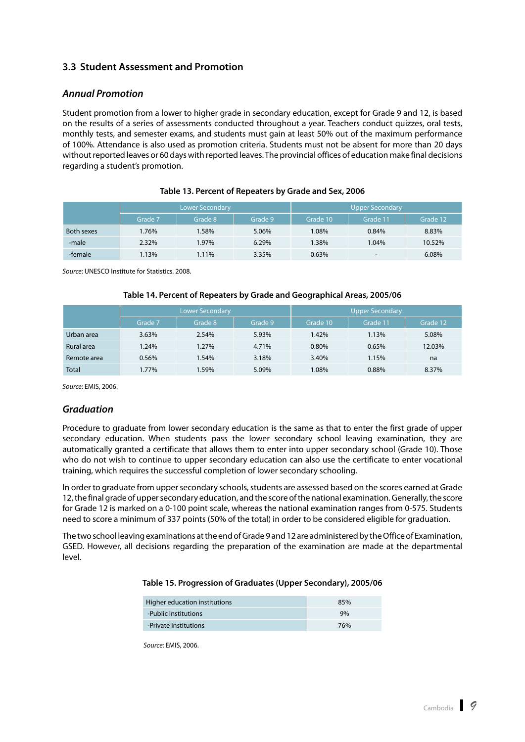#### <span id="page-17-0"></span>**3.3 Student Assessment and Promotion**

#### *Annual Promotion*

Student promotion from a lower to higher grade in secondary education, except for Grade 9 and 12, is based on the results of a series of assessments conducted throughout a year. Teachers conduct quizzes, oral tests, monthly tests, and semester exams, and students must gain at least 50% out of the maximum performance of 100%. Attendance is also used as promotion criteria. Students must not be absent for more than 20 days without reported leaves or 60 days with reported leaves. The provincial offices of education make final decisions regarding a student's promotion.

|            |         | Lower Secondary |         | <b>Upper Secondary</b> |                          |          |  |
|------------|---------|-----------------|---------|------------------------|--------------------------|----------|--|
|            | Grade 7 | Grade 8         | Grade 9 | Grade 10               | Grade 11                 | Grade 12 |  |
| Both sexes | .76%    | 1.58%           | 5.06%   | 1.08%                  | 0.84%                    | 8.83%    |  |
| -male      | 2.32%   | 1.97%           | 6.29%   | 1.38%                  | 1.04%                    | 10.52%   |  |
| -female    | 1.13%   | 1.11%           | 3.35%   | 0.63%                  | $\overline{\phantom{a}}$ | 6.08%    |  |

#### **Table 13. Percent of Repeaters by Grade and Sex, 2006**

*Source*: UNESCO Institute for Statistics. 2008.

#### **Table 14. Percent of Repeaters by Grade and Geographical Areas, 2005/06**

|              |         | <b>Lower Secondary</b> |         | <b>Upper Secondary</b> |          |          |  |
|--------------|---------|------------------------|---------|------------------------|----------|----------|--|
|              | Grade 7 | Grade 8                | Grade 9 | Grade 10               | Grade 11 | Grade 12 |  |
| Urban area   | 3.63%   | 2.54%                  | 5.93%   | 1.42%                  | 1.13%    | 5.08%    |  |
| Rural area   | 1.24%   | 1.27%                  | 4.71%   | 0.80%                  | 0.65%    | 12.03%   |  |
| Remote area  | 0.56%   | 1.54%                  | 3.18%   | 3.40%                  | 1.15%    | na       |  |
| <b>Total</b> | 1.77%   | 1.59%                  | 5.09%   | 1.08%                  | 0.88%    | 8.37%    |  |

*Source*: EMIS, 2006.

#### *Graduation*

Procedure to graduate from lower secondary education is the same as that to enter the first grade of upper secondary education. When students pass the lower secondary school leaving examination, they are automatically granted a certificate that allows them to enter into upper secondary school (Grade 10). Those who do not wish to continue to upper secondary education can also use the certificate to enter vocational training, which requires the successful completion of lower secondary schooling.

In order to graduate from upper secondary schools, students are assessed based on the scores earned at Grade 12, the final grade of upper secondary education, and the score of the national examination. Generally, the score for Grade 12 is marked on a 0-100 point scale, whereas the national examination ranges from 0-575. Students need to score a minimum of 337 points (50% of the total) in order to be considered eligible for graduation.

The two school leaving examinations at the end of Grade 9 and 12 are administered by the Office of Examination, GSED. However, all decisions regarding the preparation of the examination are made at the departmental level.

#### **Table 15. Progression of Graduates (Upper Secondary), 2005/06**

| Higher education institutions | 85% |
|-------------------------------|-----|
| -Public institutions          | 9%  |
| -Private institutions         | 76% |

*Source*: EMIS, 2006.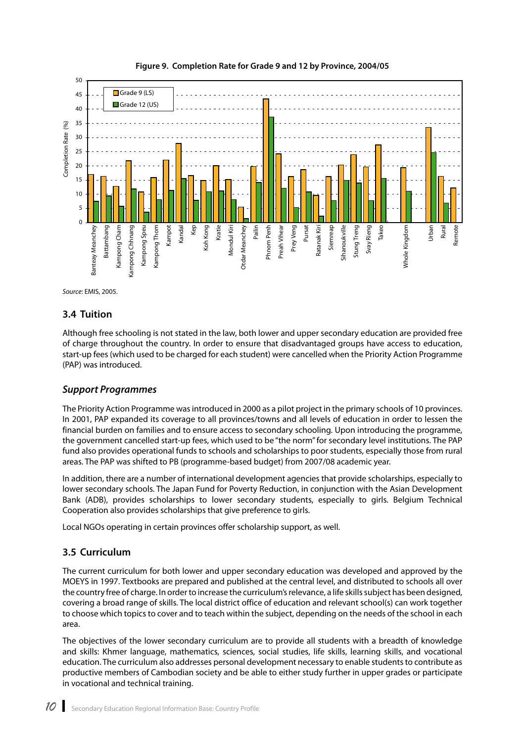<span id="page-18-0"></span>



*Source*: EMIS, 2005.

#### **3.4 Tuition**

Although free schooling is not stated in the law, both lower and upper secondary education are provided free of charge throughout the country. In order to ensure that disadvantaged groups have access to education, start-up fees (which used to be charged for each student) were cancelled when the Priority Action Programme (PAP) was introduced.

#### *Support Programmes*

The Priority Action Programme was introduced in 2000 as a pilot project in the primary schools of 10 provinces. In 2001, PAP expanded its coverage to all provinces/towns and all levels of education in order to lessen the financial burden on families and to ensure access to secondary schooling. Upon introducing the programme, the government cancelled start-up fees, which used to be "the norm" for secondary level institutions. The PAP fund also provides operational funds to schools and scholarships to poor students, especially those from rural areas. The PAP was shifted to PB (programme-based budget) from 2007/08 academic year.

In addition, there are a number of international development agencies that provide scholarships, especially to lower secondary schools. The Japan Fund for Poverty Reduction, in conjunction with the Asian Development Bank (ADB), provides scholarships to lower secondary students, especially to girls. Belgium Technical Cooperation also provides scholarships that give preference to girls.

Local NGOs operating in certain provinces offer scholarship support, as well.

#### **3.5 Curriculum**

The current curriculum for both lower and upper secondary education was developed and approved by the MOEYS in 1997. Textbooks are prepared and published at the central level, and distributed to schools all over the country free of charge. In order to increase the curriculum's relevance, a life skills subject has been designed, covering a broad range of skills. The local district office of education and relevant school(s) can work together to choose which topics to cover and to teach within the subject, depending on the needs of the school in each area.

The objectives of the lower secondary curriculum are to provide all students with a breadth of knowledge and skills: Khmer language, mathematics, sciences, social studies, life skills, learning skills, and vocational education. The curriculum also addresses personal development necessary to enable students to contribute as productive members of Cambodian society and be able to either study further in upper grades or participate in vocational and technical training.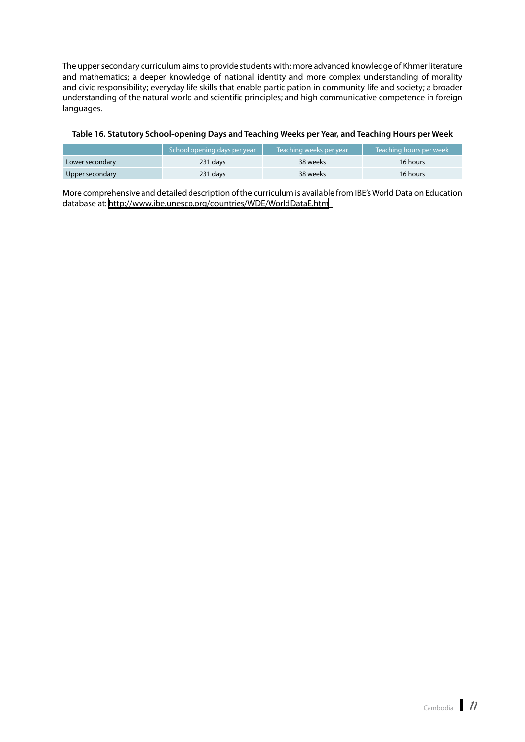<span id="page-19-0"></span>The upper secondary curriculum aims to provide students with: more advanced knowledge of Khmer literature and mathematics; a deeper knowledge of national identity and more complex understanding of morality and civic responsibility; everyday life skills that enable participation in community life and society; a broader understanding of the natural world and scientific principles; and high communicative competence in foreign languages.

#### **Table 16. Statutory School-opening Days and Teaching Weeks per Year, and Teaching Hours per Week**

|                 | School opening days per year | Teaching weeks per year | Teaching hours per week |
|-----------------|------------------------------|-------------------------|-------------------------|
| Lower secondary | 231 days                     | 38 weeks                | 16 hours                |
| Upper secondary | 231 days                     | 38 weeks                | 16 hours                |

More comprehensive and detailed description of the curriculum is available from IBE's World Data on Education database at:<http://www.ibe.unesco.org/countries/WDE/WorldDataE.htm>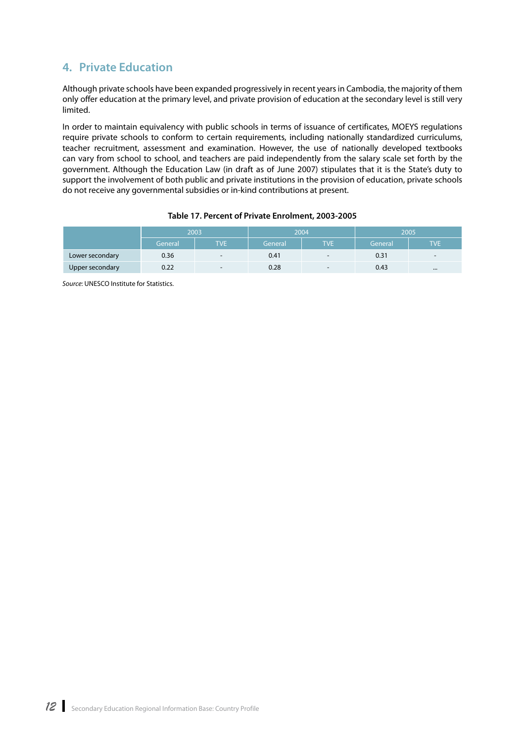### <span id="page-20-0"></span>**4. Private Education**

Although private schools have been expanded progressively in recent years in Cambodia, the majority of them only offer education at the primary level, and private provision of education at the secondary level is still very limited.

In order to maintain equivalency with public schools in terms of issuance of certificates, MOEYS regulations require private schools to conform to certain requirements, including nationally standardized curriculums, teacher recruitment, assessment and examination. However, the use of nationally developed textbooks can vary from school to school, and teachers are paid independently from the salary scale set forth by the government. Although the Education Law (in draft as of June 2007) stipulates that it is the State's duty to support the involvement of both public and private institutions in the provision of education, private schools do not receive any governmental subsidies or in-kind contributions at present.

|                 | 2003    |                          |         | 2004                     | 2005    |                          |
|-----------------|---------|--------------------------|---------|--------------------------|---------|--------------------------|
|                 | General | <b>TVE</b>               | General | <b>TVE</b>               | General | TVP                      |
| Lower secondary | 0.36    | $\overline{\phantom{a}}$ | 0.41    | $\overline{\phantom{a}}$ | 0.31    | $\overline{\phantom{0}}$ |
| Upper secondary | 0.22    | $\overline{\phantom{0}}$ | 0.28    | $\overline{\phantom{0}}$ | 0.43    |                          |

*Source*: UNESCO Institute for Statistics.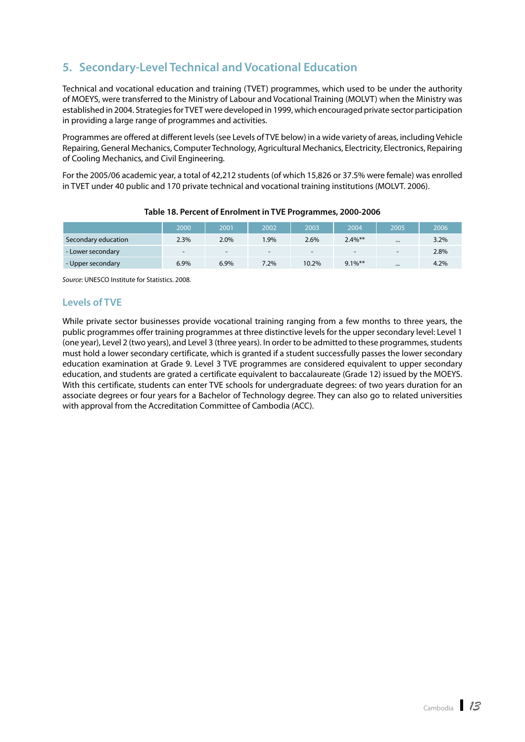## <span id="page-21-0"></span>**5. Secondary-Level Technical and Vocational Education**

Technical and vocational education and training (TVET) programmes, which used to be under the authority of MOEYS, were transferred to the Ministry of Labour and Vocational Training (MOLVT) when the Ministry was established in 2004. Strategies for TVET were developed in 1999, which encouraged private sector participation in providing a large range of programmes and activities.

Programmes are offered at different levels (see Levels of TVE below) in a wide variety of areas, including Vehicle Repairing, General Mechanics, Computer Technology, Agricultural Mechanics, Electricity, Electronics, Repairing of Cooling Mechanics, and Civil Engineering.

For the 2005/06 academic year, a total of 42,212 students (of which 15,826 or 37.5% were female) was enrolled in TVET under 40 public and 170 private technical and vocational training institutions (MOLVT. 2006).

|                     | 2000                     | 2001                     | 2002                     | 2003                     | 2004                     | 2005                     | 2006    |
|---------------------|--------------------------|--------------------------|--------------------------|--------------------------|--------------------------|--------------------------|---------|
| Secondary education | 2.3%                     | 2.0%                     | .9%                      | 2.6%                     | $2.4\%$ **               |                          | $3.2\%$ |
| - Lower secondary   | $\overline{\phantom{0}}$ | $\overline{\phantom{0}}$ | $\overline{\phantom{0}}$ | $\overline{\phantom{0}}$ | $\overline{\phantom{0}}$ | $\overline{\phantom{a}}$ | 2.8%    |
| - Upper secondary   | 6.9%                     | 6.9%                     | $7.2\%$                  | 10.2%                    | $9.1\%$ **               | $\cdots$                 | 4.2%    |

#### **Table 18. Percent of Enrolment in TVE Programmes, 2000-2006**

*Source*: UNESCO Institute for Statistics. 2008.

#### **Levels of TVE**

While private sector businesses provide vocational training ranging from a few months to three years, the public programmes offer training programmes at three distinctive levels for the upper secondary level: Level 1 (one year), Level 2 (two years), and Level 3 (three years). In order to be admitted to these programmes, students must hold a lower secondary certificate, which is granted if a student successfully passes the lower secondary education examination at Grade 9. Level 3 TVE programmes are considered equivalent to upper secondary education, and students are grated a certificate equivalent to baccalaureate (Grade 12) issued by the MOEYS. With this certificate, students can enter TVE schools for undergraduate degrees: of two years duration for an associate degrees or four years for a Bachelor of Technology degree. They can also go to related universities with approval from the Accreditation Committee of Cambodia (ACC).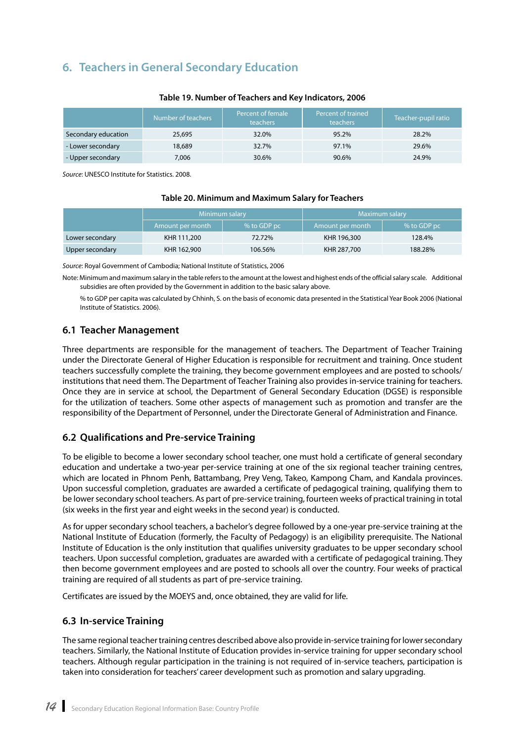### <span id="page-22-0"></span>**6. Teachers in General Secondary Education**

|                     | Number of teachers | Percent of female<br><b>teachers</b> | Percent of trained<br><b>teachers</b> | Teacher-pupil ratio |
|---------------------|--------------------|--------------------------------------|---------------------------------------|---------------------|
| Secondary education | 25,695             | 32.0%                                | 95.2%                                 | 28.2%               |
| - Lower secondary   | 18,689             | 32.7%                                | 97.1%                                 | 29.6%               |
| - Upper secondary   | 7.006              | 30.6%                                | 90.6%                                 | 24.9%               |

#### **Table 19. Number of Teachers and Key Indicators, 2006**

*Source*: UNESCO Institute for Statistics. 2008.

#### **Table 20. Minimum and Maximum Salary for Teachers**

|                 | Minimum salary   |             | Maximum salary   |             |
|-----------------|------------------|-------------|------------------|-------------|
|                 | Amount per month | % to GDP pc | Amount per month | % to GDP pc |
| Lower secondary | KHR 111,200      | 72.72%      | KHR 196,300      | 128.4%      |
| Upper secondary | KHR 162,900      | 106.56%     | KHR 287,700      | 188.28%     |

*Source*: Royal Government of Cambodia; National Institute of Statistics, 2006

Note: Minimum and maximum salary in the table refers to the amount at the lowest and highest ends of the official salary scale. Additional subsidies are often provided by the Government in addition to the basic salary above.

% to GDP per capita was calculated by Chhinh, S. on the basis of economic data presented in the Statistical Year Book 2006 (National Institute of Statistics. 2006).

#### **6.1 Teacher Management**

Three departments are responsible for the management of teachers. The Department of Teacher Training under the Directorate General of Higher Education is responsible for recruitment and training. Once student teachers successfully complete the training, they become government employees and are posted to schools/ institutions that need them. The Department of Teacher Training also provides in-service training for teachers. Once they are in service at school, the Department of General Secondary Education (DGSE) is responsible for the utilization of teachers. Some other aspects of management such as promotion and transfer are the responsibility of the Department of Personnel, under the Directorate General of Administration and Finance.

#### **6.2 Qualifications and Pre-service Training**

To be eligible to become a lower secondary school teacher, one must hold a certificate of general secondary education and undertake a two-year per-service training at one of the six regional teacher training centres, which are located in Phnom Penh, Battambang, Prey Veng, Takeo, Kampong Cham, and Kandala provinces. Upon successful completion, graduates are awarded a certificate of pedagogical training, qualifying them to be lower secondary school teachers. As part of pre-service training, fourteen weeks of practical training in total (six weeks in the first year and eight weeks in the second year) is conducted.

As for upper secondary school teachers, a bachelor's degree followed by a one-year pre-service training at the National Institute of Education (formerly, the Faculty of Pedagogy) is an eligibility prerequisite. The National Institute of Education is the only institution that qualifies university graduates to be upper secondary school teachers. Upon successful completion, graduates are awarded with a certificate of pedagogical training. They then become government employees and are posted to schools all over the country. Four weeks of practical training are required of all students as part of pre-service training.

Certificates are issued by the MOEYS and, once obtained, they are valid for life.

#### **6.3 In-service Training**

The same regional teacher training centres described above also provide in-service training for lower secondary teachers. Similarly, the National Institute of Education provides in-service training for upper secondary school teachers. Although regular participation in the training is not required of in-service teachers, participation is taken into consideration for teachers' career development such as promotion and salary upgrading.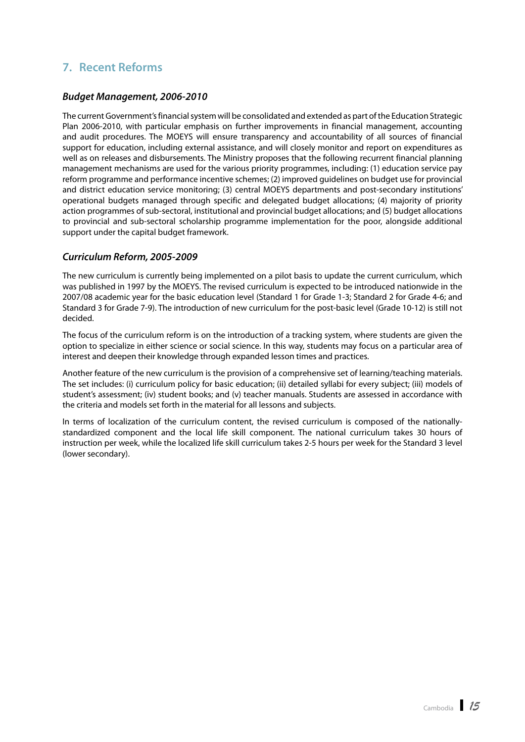### <span id="page-23-0"></span>**7. Recent Reforms**

#### *Budget Management, 2006-2010*

The current Government's financial system will be consolidated and extended as part of the Education Strategic Plan 2006-2010, with particular emphasis on further improvements in financial management, accounting and audit procedures. The MOEYS will ensure transparency and accountability of all sources of financial support for education, including external assistance, and will closely monitor and report on expenditures as well as on releases and disbursements. The Ministry proposes that the following recurrent financial planning management mechanisms are used for the various priority programmes, including: (1) education service pay reform programme and performance incentive schemes; (2) improved guidelines on budget use for provincial and district education service monitoring; (3) central MOEYS departments and post-secondary institutions' operational budgets managed through specific and delegated budget allocations; (4) majority of priority action programmes of sub-sectoral, institutional and provincial budget allocations; and (5) budget allocations to provincial and sub-sectoral scholarship programme implementation for the poor, alongside additional support under the capital budget framework.

#### *Curriculum Reform, 2005-2009*

The new curriculum is currently being implemented on a pilot basis to update the current curriculum, which was published in 1997 by the MOEYS. The revised curriculum is expected to be introduced nationwide in the 2007/08 academic year for the basic education level (Standard 1 for Grade 1-3; Standard 2 for Grade 4-6; and Standard 3 for Grade 7-9). The introduction of new curriculum for the post-basic level (Grade 10-12) is still not decided.

The focus of the curriculum reform is on the introduction of a tracking system, where students are given the option to specialize in either science or social science. In this way, students may focus on a particular area of interest and deepen their knowledge through expanded lesson times and practices.

Another feature of the new curriculum is the provision of a comprehensive set of learning/teaching materials. The set includes: (i) curriculum policy for basic education; (ii) detailed syllabi for every subject; (iii) models of student's assessment; (iv) student books; and (v) teacher manuals. Students are assessed in accordance with the criteria and models set forth in the material for all lessons and subjects.

In terms of localization of the curriculum content, the revised curriculum is composed of the nationallystandardized component and the local life skill component. The national curriculum takes 30 hours of instruction per week, while the localized life skill curriculum takes 2-5 hours per week for the Standard 3 level (lower secondary).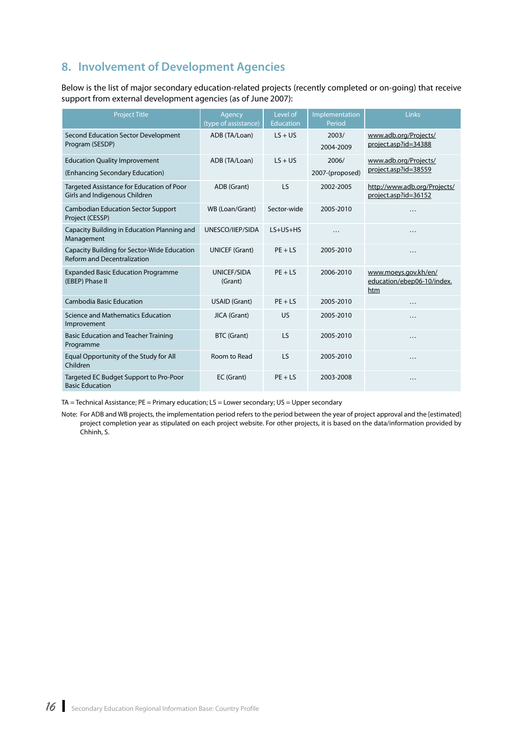## <span id="page-24-0"></span>**8. Involvement of Development Agencies**

Below is the list of major secondary education-related projects (recently completed or on-going) that receive support from external development agencies (as of June 2007):

| <b>Project Title</b>                                                              | Agency<br>(type of assistance) | Level of<br><b>Education</b> | Implementation<br>Period | Links                                                     |
|-----------------------------------------------------------------------------------|--------------------------------|------------------------------|--------------------------|-----------------------------------------------------------|
| <b>Second Education Sector Development</b><br>Program (SESDP)                     | ADB (TA/Loan)                  | $LS + US$                    | 2003/<br>2004-2009       | www.adb.org/Projects/<br>project.asp?id=34388             |
| <b>Education Quality Improvement</b><br>(Enhancing Secondary Education)           | ADB (TA/Loan)                  | $LS + US$                    | 2006/<br>2007-(proposed) | www.adb.org/Projects/<br>project.asp?id=38559             |
| Targeted Assistance for Education of Poor<br>Girls and Indigenous Children        | ADB (Grant)                    | LS                           | 2002-2005                | http://www.adb.org/Projects/<br>project.asp?id=36152      |
| <b>Cambodian Education Sector Support</b><br>Project (CESSP)                      | WB (Loan/Grant)                | Sector-wide                  | 2005-2010                | .                                                         |
| Capacity Building in Education Planning and<br>Management                         | UNESCO/IIEP/SIDA               | $LS+US+HS$                   | .                        | .                                                         |
| Capacity Building for Sector-Wide Education<br><b>Reform and Decentralization</b> | <b>UNICEF (Grant)</b>          | $PF + IS$                    | 2005-2010                | .                                                         |
| <b>Expanded Basic Education Programme</b><br>(EBEP) Phase II                      | <b>UNICEF/SIDA</b><br>(Grant)  | $PF + IS$                    | 2006-2010                | www.moeys.gov.kh/en/<br>education/ebep06-10/index.<br>htm |
| <b>Cambodia Basic Education</b>                                                   | <b>USAID (Grant)</b>           | $PE + LS$                    | 2005-2010                | .                                                         |
| Science and Mathematics Education<br>Improvement                                  | JICA (Grant)                   | US                           | 2005-2010                | .                                                         |
| <b>Basic Education and Teacher Training</b><br>Programme                          | <b>BTC (Grant)</b>             | LS                           | 2005-2010                | .                                                         |
| Equal Opportunity of the Study for All<br>Children                                | Room to Read                   | LS                           | 2005-2010                | $\ddotsc$                                                 |
| Targeted EC Budget Support to Pro-Poor<br><b>Basic Education</b>                  | EC (Grant)                     | $PE + LS$                    | 2003-2008                | .                                                         |

TA = Technical Assistance; PE = Primary education; LS = Lower secondary; US = Upper secondary

Note: For ADB and WB projects, the implementation period refers to the period between the year of project approval and the [estimated] project completion year as stipulated on each project website. For other projects, it is based on the data/information provided by Chhinh, S.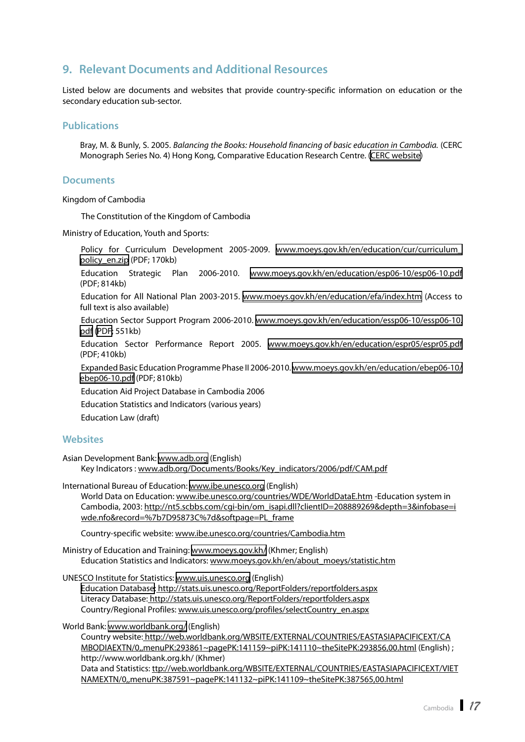### <span id="page-25-0"></span>**9. Relevant Documents and Additional Resources**

Listed below are documents and websites that provide country-specific information on education or the secondary education sub-sector.

#### **Publications**

Bray, M. & Bunly, S. 2005. *Balancing the Books: Household financing of basic education in Cambodia.* (CERC Monograph Series No. 4) Hong Kong, Comparative Education Research Centre. [\(CERC website\)](http://www.hku.hk/cerc/Publications/cambodia.htm)

#### **Documents**

Kingdom of Cambodia

The Constitution of the Kingdom of Cambodia

Ministry of Education, Youth and Sports:

Policy for Curriculum Development 2005-2009. [www.moeys.gov.kh/en/education/cur/curriculum\\_](www.moeys.gov.kh/en/education/ebep06-10/ebep06-10.pdf) [policy\\_en.zip](www.moeys.gov.kh/en/education/ebep06-10/ebep06-10.pdf) (PDF; 170kb)

Education Strategic Plan 2006-2010. [www.moeys.gov.kh/en/education/esp06-10/esp06-10.pdf](www.moeys.gov.kh/en/education/ebep06-10/ebep06-10.pdf) (PDF; 814kb)

Education for All National Plan 2003-2015. [www.moeys.gov.kh/en/education/efa/index.htm](www.moeys.gov.kh/en/education/ebep06-10/ebep06-10.pdf) (Access to full text is also available)

Education Sector Support Program 2006-2010. [www.moeys.gov.kh/en/education/essp06-10/essp06-10.](www.moeys.gov.kh/en/education/ebep06-10/ebep06-10.pdf) [pdf](www.moeys.gov.kh/en/education/ebep06-10/ebep06-10.pdf) [\(PDF;](http://www.moeys.gov.kh/en/education/essp06-10/essp06-10.pdf) 551kb)

Education Sector Performance Report 2005. [www.moeys.gov.kh/en/education/espr05/espr05.pdf](www.moeys.gov.kh/en/education/ebep06-10/ebep06-10.pdf) (PDF; 410kb)

Expanded Basic Education Programme Phase II 2006-2010. [www.moeys.gov.kh/en/education/ebep06-10/](www.moeys.gov.kh/en/education/ebep06-10/ebep06-10.pdf) [ebep06-10.pdf](www.moeys.gov.kh/en/education/ebep06-10/ebep06-10.pdf) (PDF; 810kb)

Education Aid Project Database in Cambodia 2006

Education Statistics and Indicators (various years)

Education Law (draft)

#### **Websites**

Asian Development Bank: [www.adb.org](http://www.adb.org) (English) Key Indicators : [www.adb.org/Documents/Books/Key\\_indicators/2006/pdf/CAM.pdf](http://www.adb.org/Documents/Books/Key_indicators/2006/pdf/CAM.pdf)

International Bureau of Education: [www.ibe.unesco.org](http://www.ibe.unesco.org) (English) World Data on Education: [www.ibe.unesco.org/countries/WDE/WorldDataE.htm -Ed](http://www.ibe.unesco.org/countries/WDE/WorldDataE.htm)ucation system in Cambodia, 2003: [http://nt5.scbbs.com/cgi-bin/om\\_isapi.dll?clientID=208889269&depth=3&infobase=i](http://nt5.scbbs.com/cgi-bin/om_isapi.dll?clientID=208889269&depth=3&infobase=i) wde.nfo&record=%7b7D95873C%7d&softpage=PL\_frame

Country-specific website: [www.ibe.unesco.org/countries/Cambodia.htm](http://www.ibe.unesco.org/countries/Cambodia.htm)

Ministry of Education and Training: [www.moeys.gov.kh/](http://www.moeys.gov.kh/) (Khmer; English) Education Statistics and Indicators: [www.moeys.gov.kh/en/about\\_moeys/statistic.htm](http://www.moeys.gov.kh/en/about_moeys/statistic.htm)

UNESCO Institute for Statistics: [www.uis.unesco.org](http://www.uis.unesco.org) (English) [Education Database](http://stats.uis.unesco.org/ReportFolders/reportfolders.aspx):<http://stats.uis.unesco.org/ReportFolders/reportfolders.aspx> Literacy Database: <http://stats.uis.unesco.org/ReportFolders/reportfolders.aspx> Country/Regional Profiles: [www.uis.unesco.org/profiles/selectCountry\\_en.aspx](http://www.uis.unesco.org/profiles/selectCountry_en.aspx)

World Bank: [www.worldbank.org/](http://www.worldbank.org/) (English)

Country website:<http://web.worldbank.org/WBSITE/EXTERNAL/COUNTRIES/EASTASIAPACIFICEXT/CA> MBODIAEXTN/0,,menuPK:293861~pagePK:141159~piPK:141110~theSitePK:293856,00.html (English) ; [http://www.worldbank.org.kh/](http://www.worldbank.org.kh) (Khmer) Data and Statistics: <ttp://web.worldbank.org/WBSITE/EXTERNAL/COUNTRIES/EASTASIAPACIFICEXT/VIET> NAMEXTN/0,,menuPK:387591~pagePK:141132~piPK:141109~theSitePK:387565,00.html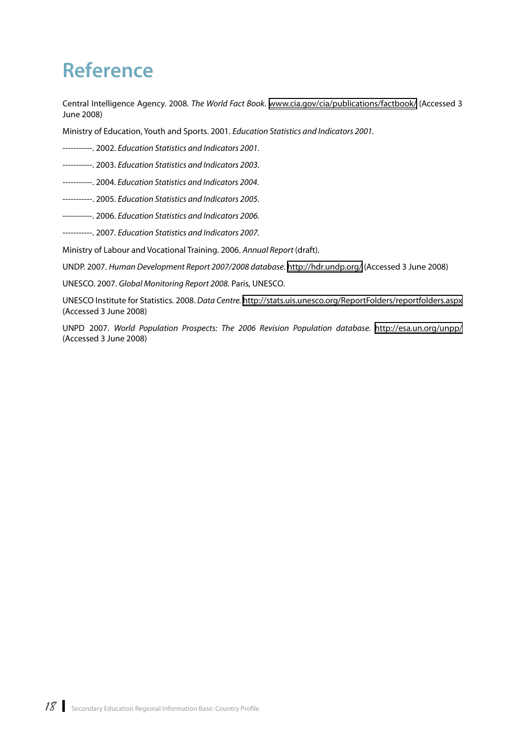## <span id="page-26-0"></span>**Reference**

Central Intelligence Agency. 2008. *The World Fact Book.* [www.cia.gov/cia/publications/factbook/](https://www.cia.gov/cia/publications/factbook/) (Accessed 3 June 2008)

Ministry of Education, Youth and Sports. 2001. *Education Statistics and Indicators 2001.*

- -----------. 2002. *Education Statistics and Indicators 2001.*
- -----------. 2003. *Education Statistics and Indicators 2003.*
- -----------. 2004. *Education Statistics and Indicators 2004.*
- -----------. 2005. *Education Statistics and Indicators 2005.*
- -----------. 2006. *Education Statistics and Indicators 2006.*
- -----------. 2007. *Education Statistics and Indicators 2007.*

Ministry of Labour and Vocational Training. 2006. *Annual Report* (draft).

UNDP. 2007. *Human Development Report 2007/2008 database.*<http://hdr.undp.org/>(Accessed 3 June 2008)

UNESCO. 2007. *Global Monitoring Report 2008.* Paris, UNESCO.

UNESCO Institute for Statistics. 2008. *Data Centre.* <http://stats.uis.unesco.org/ReportFolders/reportfolders.aspx> (Accessed 3 June 2008)

UNPD 2007. *World Population Prospects: The 2006 Revision Population database.* <http://esa.un.org/unpp/> (Accessed 3 June 2008)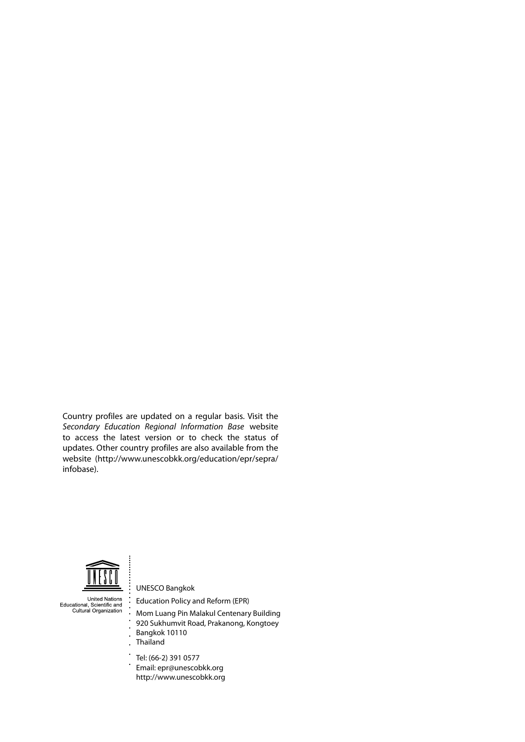Country profiles are updated on a regular basis. Visit the *[Secondary Education Regional Information Base](http://www.unescobkk.org/index.php?id=9/secondary/infobase/)* website to access the latest version or to check the status of updates. Other country profiles are also available from the website ([http://www.unescobkk.org/education/epr/sepr](http://www.unescobkk.org/education/epr/sepra/infobase)a/ [infobase](http://www.unescobkk.org/education/epr/sepra/infobase)).



United Nations<br>Educational, Scientific and<br>Cultural Organization

UNESCO Bangkok Education Policy and Reform (EPR)

- Mom Luang Pin Malakul Centenary Building
- 920 Sukhumvit Road, Prakanong, Kongtoey
- Bangkok 10110
- Thailand
- Tel: (66-2) 391 0577
- $\ddot{\phantom{0}}$ Email: [epr@unescobkk.org](mailto:epr@unescobkk.org)
- [http://www.unescobkk.org](http://www.unescobkk.org/index.php?id=9/secondary/infobase/)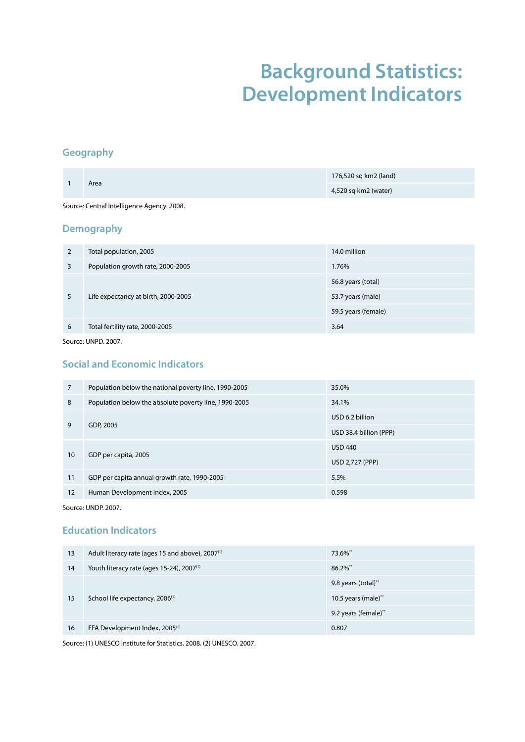## **Background Statistics: Development Indicators**

#### <span id="page-29-0"></span>**Geography**

| 1                                          | Area                                | 176,520 sq km2 (land) |  |
|--------------------------------------------|-------------------------------------|-----------------------|--|
|                                            |                                     | 4,520 sq km2 (water)  |  |
| Source: Central Intelligence Agency. 2008. |                                     |                       |  |
|                                            | <b>Demography</b>                   |                       |  |
| $\overline{2}$                             | Total population, 2005              | 14.0 million          |  |
| $\overline{3}$                             | Population growth rate, 2000-2005   | 1.76%                 |  |
| 5                                          |                                     | 56.8 years (total)    |  |
|                                            | Life expectancy at birth, 2000-2005 | 53.7 years (male)     |  |
|                                            |                                     | 59.5 years (female)   |  |
| 6                                          | Total fertility rate, 2000-2005     | 3.64                  |  |

Source: UNPD. 2007.

#### **Social and Economic Indicators**

| 7  | Population below the national poverty line, 1990-2005 | 35.0%                  |
|----|-------------------------------------------------------|------------------------|
| 8  | Population below the absolute poverty line, 1990-2005 | 34.1%                  |
| 9  |                                                       | USD 6.2 billion        |
|    | GDP, 2005                                             | USD 38.4 billion (PPP) |
| 10 |                                                       | <b>USD 440</b>         |
|    | GDP per capita, 2005                                  | USD 2,727 (PPP)        |
| 11 | GDP per capita annual growth rate, 1990-2005          | 5.5%                   |
| 12 | Human Development Index, 2005                         | 0.598                  |

Source: UNDP. 2007.

#### **Education Indicators**

| 13 | Adult literacy rate (ages 15 and above), 2007 <sup>(1)</sup> | 73.6%**                |
|----|--------------------------------------------------------------|------------------------|
| 14 | Youth literacy rate (ages 15-24), 2007 <sup>(1)</sup>        | $86.2\%$ **            |
| 15 |                                                              | 9.8 years (total)**    |
|    | School life expectancy, 2006 <sup>(1)</sup>                  | 10.5 years (male) $**$ |
|    |                                                              | 9.2 years (female)**   |
| 16 | EFA Development Index, 2005 <sup>(2)</sup>                   | 0.807                  |

Source: (1) UNESCO Institute for Statistics. 2008. (2) UNESCO. 2007.